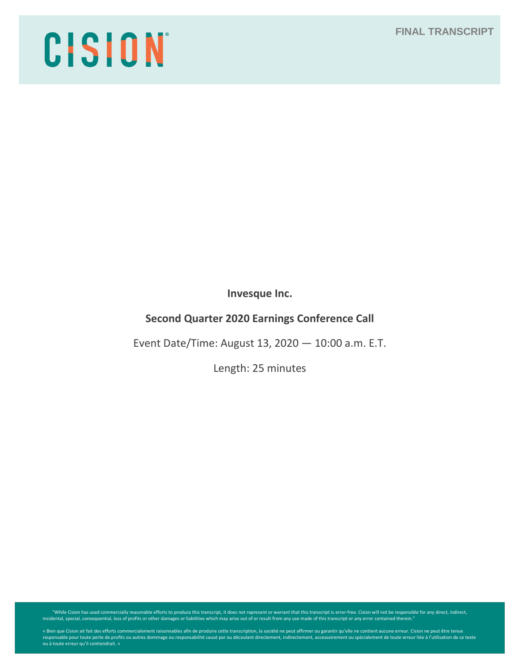## **FINAL TRANSCRIPT**

# CISION

**Invesque Inc.**

# **Second Quarter 2020 Earnings Conference Call**

Event Date/Time: August 13, 2020 — 10:00 a.m. E.T.

Length: 25 minutes

While Cision has used commercially reasonable efforts to produce this transcript, it does not represent or warrant that this transcript is error-free. Cision will not be responsible for any direct, indirect, indirect, indi

« Bien que Cision ait fait des efforts commercialement raisonnables afin de produire cette transcription, la société ne peut affirmer ou garantir qu'elle ne contient aucune erreur. Cision ne peut être tenue<br>responsable pou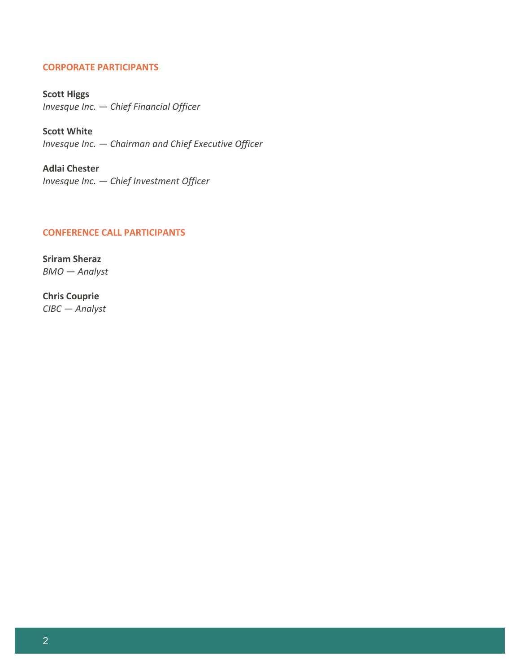## **CORPORATE PARTICIPANTS**

**Scott Higgs** *Invesque Inc. — Chief Financial Officer*

**Scott White** *Invesque Inc. — Chairman and Chief Executive Officer*

**Adlai Chester** *Invesque Inc. — Chief Investment Officer*

## **CONFERENCE CALL PARTICIPANTS**

**Sriram Sheraz** *BMO — Analyst*

**Chris Couprie** *CIBC — Analyst*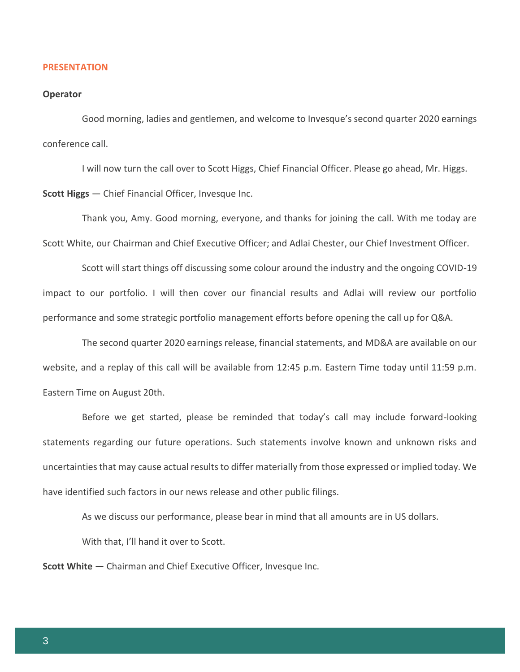#### **PRESENTATION**

#### **Operator**

Good morning, ladies and gentlemen, and welcome to Invesque's second quarter 2020 earnings conference call.

I will now turn the call over to Scott Higgs, Chief Financial Officer. Please go ahead, Mr. Higgs.

**Scott Higgs** — Chief Financial Officer, Invesque Inc.

Thank you, Amy. Good morning, everyone, and thanks for joining the call. With me today are Scott White, our Chairman and Chief Executive Officer; and Adlai Chester, our Chief Investment Officer.

Scott will start things off discussing some colour around the industry and the ongoing COVID-19 impact to our portfolio. I will then cover our financial results and Adlai will review our portfolio performance and some strategic portfolio management efforts before opening the call up for Q&A.

The second quarter 2020 earnings release, financial statements, and MD&A are available on our website, and a replay of this call will be available from 12:45 p.m. Eastern Time today until 11:59 p.m. Eastern Time on August 20th.

Before we get started, please be reminded that today's call may include forward-looking statements regarding our future operations. Such statements involve known and unknown risks and uncertainties that may cause actual results to differ materially from those expressed or implied today. We have identified such factors in our news release and other public filings.

As we discuss our performance, please bear in mind that all amounts are in US dollars.

With that, I'll hand it over to Scott.

**Scott White** — Chairman and Chief Executive Officer, Invesque Inc.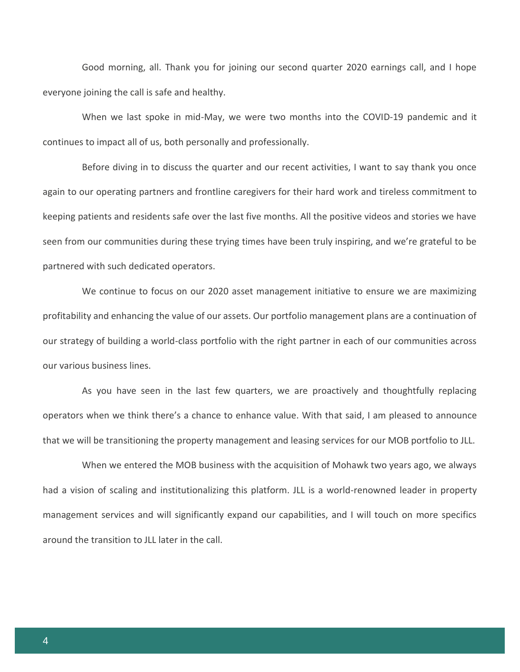Good morning, all. Thank you for joining our second quarter 2020 earnings call, and I hope everyone joining the call is safe and healthy.

When we last spoke in mid-May, we were two months into the COVID-19 pandemic and it continues to impact all of us, both personally and professionally.

Before diving in to discuss the quarter and our recent activities, I want to say thank you once again to our operating partners and frontline caregivers for their hard work and tireless commitment to keeping patients and residents safe over the last five months. All the positive videos and stories we have seen from our communities during these trying times have been truly inspiring, and we're grateful to be partnered with such dedicated operators.

We continue to focus on our 2020 asset management initiative to ensure we are maximizing profitability and enhancing the value of our assets. Our portfolio management plans are a continuation of our strategy of building a world-class portfolio with the right partner in each of our communities across our various business lines.

As you have seen in the last few quarters, we are proactively and thoughtfully replacing operators when we think there's a chance to enhance value. With that said, I am pleased to announce that we will be transitioning the property management and leasing services for our MOB portfolio to JLL.

When we entered the MOB business with the acquisition of Mohawk two years ago, we always had a vision of scaling and institutionalizing this platform. JLL is a world-renowned leader in property management services and will significantly expand our capabilities, and I will touch on more specifics around the transition to JLL later in the call.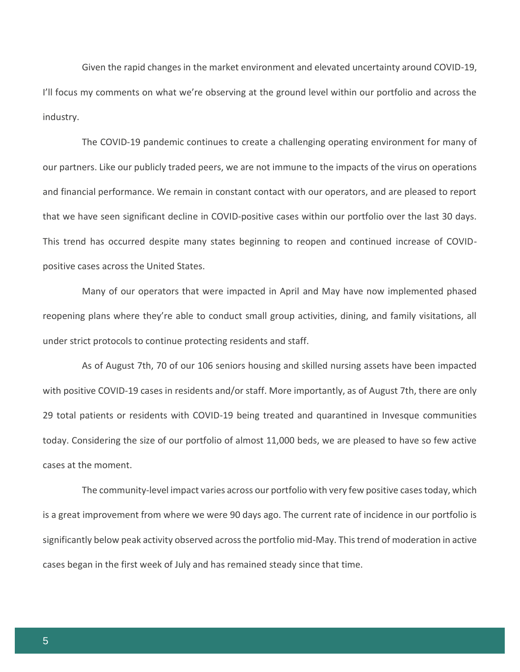Given the rapid changes in the market environment and elevated uncertainty around COVID-19, I'll focus my comments on what we're observing at the ground level within our portfolio and across the industry.

The COVID-19 pandemic continues to create a challenging operating environment for many of our partners. Like our publicly traded peers, we are not immune to the impacts of the virus on operations and financial performance. We remain in constant contact with our operators, and are pleased to report that we have seen significant decline in COVID-positive cases within our portfolio over the last 30 days. This trend has occurred despite many states beginning to reopen and continued increase of COVIDpositive cases across the United States.

Many of our operators that were impacted in April and May have now implemented phased reopening plans where they're able to conduct small group activities, dining, and family visitations, all under strict protocols to continue protecting residents and staff.

As of August 7th, 70 of our 106 seniors housing and skilled nursing assets have been impacted with positive COVID-19 cases in residents and/or staff. More importantly, as of August 7th, there are only 29 total patients or residents with COVID-19 being treated and quarantined in Invesque communities today. Considering the size of our portfolio of almost 11,000 beds, we are pleased to have so few active cases at the moment.

The community-level impact varies across our portfolio with very few positive cases today, which is a great improvement from where we were 90 days ago. The current rate of incidence in our portfolio is significantly below peak activity observed across the portfolio mid-May. This trend of moderation in active cases began in the first week of July and has remained steady since that time.

5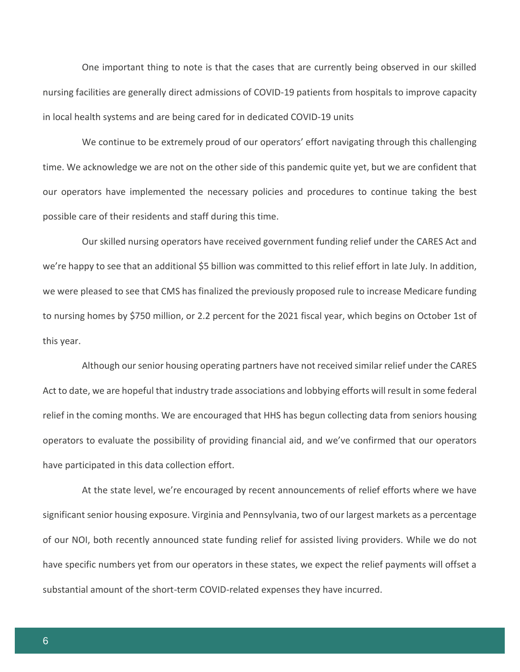One important thing to note is that the cases that are currently being observed in our skilled nursing facilities are generally direct admissions of COVID-19 patients from hospitals to improve capacity in local health systems and are being cared for in dedicated COVID-19 units

We continue to be extremely proud of our operators' effort navigating through this challenging time. We acknowledge we are not on the other side of this pandemic quite yet, but we are confident that our operators have implemented the necessary policies and procedures to continue taking the best possible care of their residents and staff during this time.

Our skilled nursing operators have received government funding relief under the CARES Act and we're happy to see that an additional \$5 billion was committed to this relief effort in late July. In addition, we were pleased to see that CMS has finalized the previously proposed rule to increase Medicare funding to nursing homes by \$750 million, or 2.2 percent for the 2021 fiscal year, which begins on October 1st of this year.

Although our senior housing operating partners have not received similar relief under the CARES Act to date, we are hopeful that industry trade associations and lobbying efforts will result in some federal relief in the coming months. We are encouraged that HHS has begun collecting data from seniors housing operators to evaluate the possibility of providing financial aid, and we've confirmed that our operators have participated in this data collection effort.

At the state level, we're encouraged by recent announcements of relief efforts where we have significant senior housing exposure. Virginia and Pennsylvania, two of our largest markets as a percentage of our NOI, both recently announced state funding relief for assisted living providers. While we do not have specific numbers yet from our operators in these states, we expect the relief payments will offset a substantial amount of the short-term COVID-related expenses they have incurred.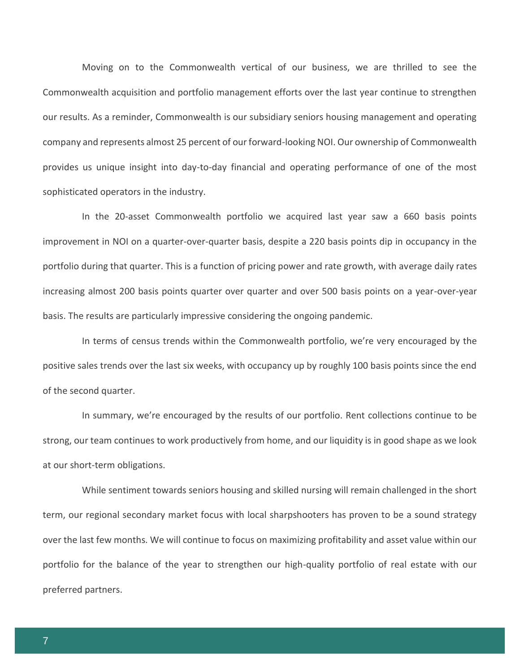Moving on to the Commonwealth vertical of our business, we are thrilled to see the Commonwealth acquisition and portfolio management efforts over the last year continue to strengthen our results. As a reminder, Commonwealth is our subsidiary seniors housing management and operating company and represents almost 25 percent of our forward-looking NOI. Our ownership of Commonwealth provides us unique insight into day-to-day financial and operating performance of one of the most sophisticated operators in the industry.

In the 20-asset Commonwealth portfolio we acquired last year saw a 660 basis points improvement in NOI on a quarter-over-quarter basis, despite a 220 basis points dip in occupancy in the portfolio during that quarter. This is a function of pricing power and rate growth, with average daily rates increasing almost 200 basis points quarter over quarter and over 500 basis points on a year-over-year basis. The results are particularly impressive considering the ongoing pandemic.

In terms of census trends within the Commonwealth portfolio, we're very encouraged by the positive sales trends over the last six weeks, with occupancy up by roughly 100 basis points since the end of the second quarter.

In summary, we're encouraged by the results of our portfolio. Rent collections continue to be strong, our team continues to work productively from home, and our liquidity is in good shape as we look at our short-term obligations.

While sentiment towards seniors housing and skilled nursing will remain challenged in the short term, our regional secondary market focus with local sharpshooters has proven to be a sound strategy over the last few months. We will continue to focus on maximizing profitability and asset value within our portfolio for the balance of the year to strengthen our high-quality portfolio of real estate with our preferred partners.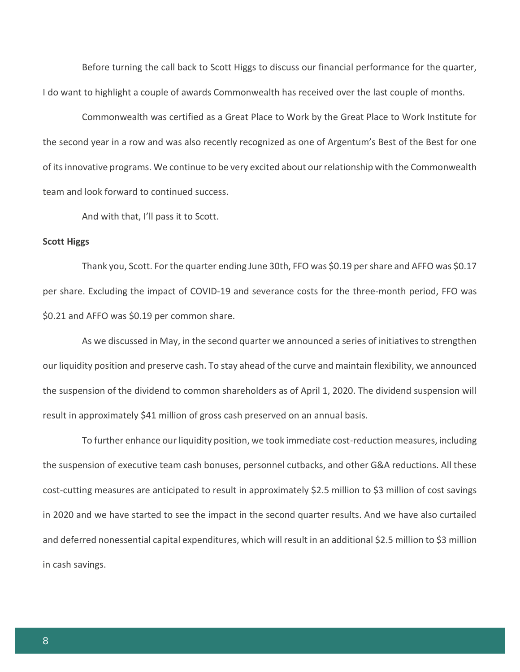Before turning the call back to Scott Higgs to discuss our financial performance for the quarter, I do want to highlight a couple of awards Commonwealth has received over the last couple of months.

Commonwealth was certified as a Great Place to Work by the Great Place to Work Institute for the second year in a row and was also recently recognized as one of Argentum's Best of the Best for one of its innovative programs. We continue to be very excited about our relationship with the Commonwealth team and look forward to continued success.

And with that, I'll pass it to Scott.

#### **Scott Higgs**

Thank you, Scott. For the quarter ending June 30th, FFO was \$0.19 per share and AFFO was \$0.17 per share. Excluding the impact of COVID-19 and severance costs for the three-month period, FFO was \$0.21 and AFFO was \$0.19 per common share.

As we discussed in May, in the second quarter we announced a series of initiatives to strengthen our liquidity position and preserve cash. To stay ahead of the curve and maintain flexibility, we announced the suspension of the dividend to common shareholders as of April 1, 2020. The dividend suspension will result in approximately \$41 million of gross cash preserved on an annual basis.

To further enhance our liquidity position, we took immediate cost-reduction measures, including the suspension of executive team cash bonuses, personnel cutbacks, and other G&A reductions. All these cost-cutting measures are anticipated to result in approximately \$2.5 million to \$3 million of cost savings in 2020 and we have started to see the impact in the second quarter results. And we have also curtailed and deferred nonessential capital expenditures, which will result in an additional \$2.5 million to \$3 million in cash savings.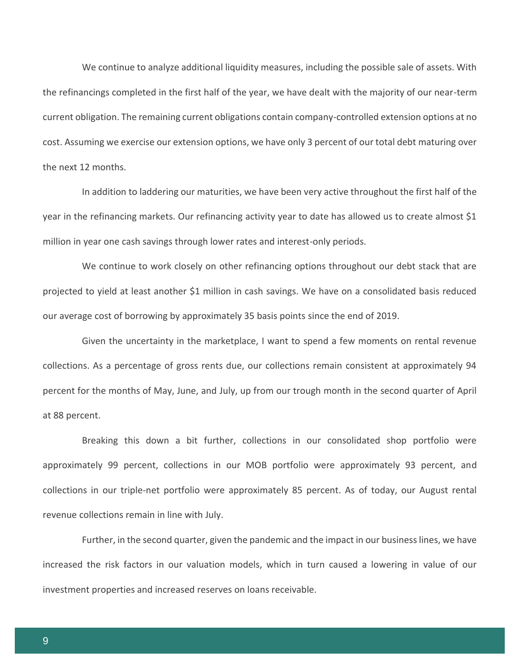We continue to analyze additional liquidity measures, including the possible sale of assets. With the refinancings completed in the first half of the year, we have dealt with the majority of our near-term current obligation. The remaining current obligations contain company-controlled extension options at no cost. Assuming we exercise our extension options, we have only 3 percent of our total debt maturing over the next 12 months.

In addition to laddering our maturities, we have been very active throughout the first half of the year in the refinancing markets. Our refinancing activity year to date has allowed us to create almost \$1 million in year one cash savings through lower rates and interest-only periods.

We continue to work closely on other refinancing options throughout our debt stack that are projected to yield at least another \$1 million in cash savings. We have on a consolidated basis reduced our average cost of borrowing by approximately 35 basis points since the end of 2019.

Given the uncertainty in the marketplace, I want to spend a few moments on rental revenue collections. As a percentage of gross rents due, our collections remain consistent at approximately 94 percent for the months of May, June, and July, up from our trough month in the second quarter of April at 88 percent.

Breaking this down a bit further, collections in our consolidated shop portfolio were approximately 99 percent, collections in our MOB portfolio were approximately 93 percent, and collections in our triple-net portfolio were approximately 85 percent. As of today, our August rental revenue collections remain in line with July.

Further, in the second quarter, given the pandemic and the impact in our business lines, we have increased the risk factors in our valuation models, which in turn caused a lowering in value of our investment properties and increased reserves on loans receivable.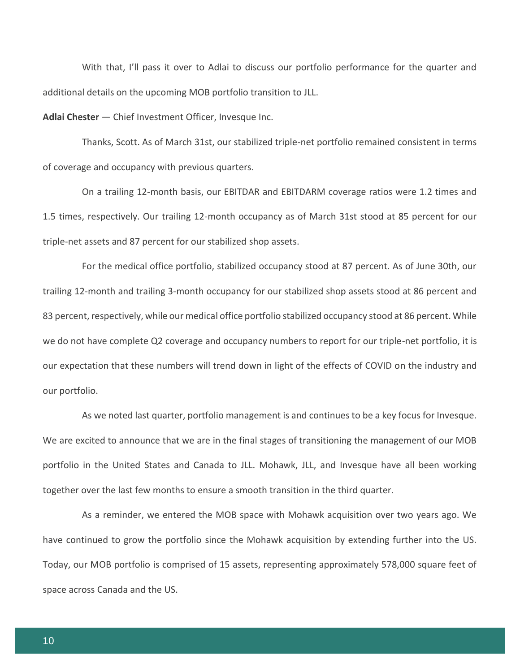With that, I'll pass it over to Adlai to discuss our portfolio performance for the quarter and additional details on the upcoming MOB portfolio transition to JLL.

**Adlai Chester** — Chief Investment Officer, Invesque Inc.

Thanks, Scott. As of March 31st, our stabilized triple-net portfolio remained consistent in terms of coverage and occupancy with previous quarters.

On a trailing 12-month basis, our EBITDAR and EBITDARM coverage ratios were 1.2 times and 1.5 times, respectively. Our trailing 12-month occupancy as of March 31st stood at 85 percent for our triple-net assets and 87 percent for our stabilized shop assets.

For the medical office portfolio, stabilized occupancy stood at 87 percent. As of June 30th, our trailing 12-month and trailing 3-month occupancy for our stabilized shop assets stood at 86 percent and 83 percent, respectively, while our medical office portfolio stabilized occupancy stood at 86 percent. While we do not have complete Q2 coverage and occupancy numbers to report for our triple-net portfolio, it is our expectation that these numbers will trend down in light of the effects of COVID on the industry and our portfolio.

As we noted last quarter, portfolio management is and continues to be a key focus for Invesque. We are excited to announce that we are in the final stages of transitioning the management of our MOB portfolio in the United States and Canada to JLL. Mohawk, JLL, and Invesque have all been working together over the last few months to ensure a smooth transition in the third quarter.

As a reminder, we entered the MOB space with Mohawk acquisition over two years ago. We have continued to grow the portfolio since the Mohawk acquisition by extending further into the US. Today, our MOB portfolio is comprised of 15 assets, representing approximately 578,000 square feet of space across Canada and the US.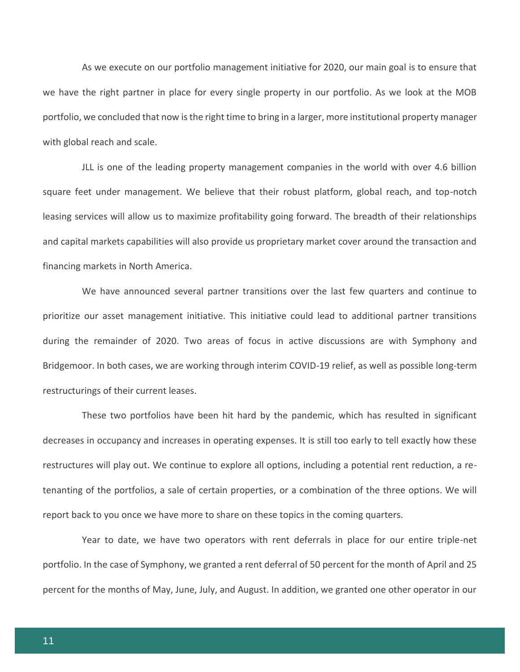As we execute on our portfolio management initiative for 2020, our main goal is to ensure that we have the right partner in place for every single property in our portfolio. As we look at the MOB portfolio, we concluded that now is the right time to bring in a larger, more institutional property manager with global reach and scale.

JLL is one of the leading property management companies in the world with over 4.6 billion square feet under management. We believe that their robust platform, global reach, and top-notch leasing services will allow us to maximize profitability going forward. The breadth of their relationships and capital markets capabilities will also provide us proprietary market cover around the transaction and financing markets in North America.

We have announced several partner transitions over the last few quarters and continue to prioritize our asset management initiative. This initiative could lead to additional partner transitions during the remainder of 2020. Two areas of focus in active discussions are with Symphony and Bridgemoor. In both cases, we are working through interim COVID-19 relief, as well as possible long-term restructurings of their current leases.

These two portfolios have been hit hard by the pandemic, which has resulted in significant decreases in occupancy and increases in operating expenses. It is still too early to tell exactly how these restructures will play out. We continue to explore all options, including a potential rent reduction, a retenanting of the portfolios, a sale of certain properties, or a combination of the three options. We will report back to you once we have more to share on these topics in the coming quarters.

Year to date, we have two operators with rent deferrals in place for our entire triple-net portfolio. In the case of Symphony, we granted a rent deferral of 50 percent for the month of April and 25 percent for the months of May, June, July, and August. In addition, we granted one other operator in our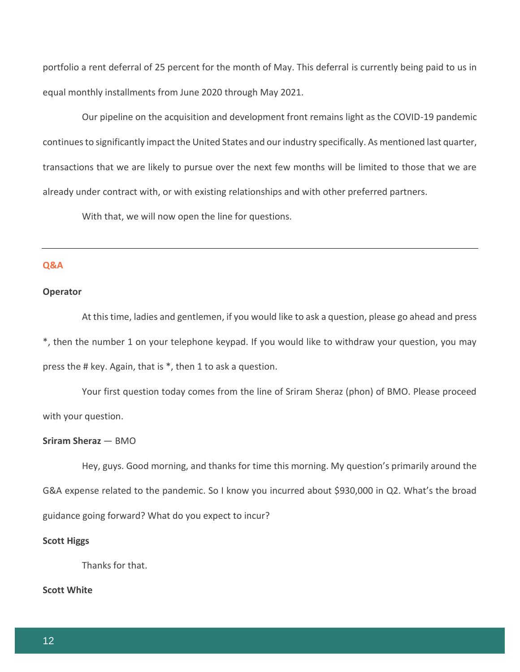portfolio a rent deferral of 25 percent for the month of May. This deferral is currently being paid to us in equal monthly installments from June 2020 through May 2021.

Our pipeline on the acquisition and development front remains light as the COVID-19 pandemic continues to significantly impact the United States and our industry specifically. As mentioned last quarter, transactions that we are likely to pursue over the next few months will be limited to those that we are already under contract with, or with existing relationships and with other preferred partners.

With that, we will now open the line for questions.

## **Q&A**

#### **Operator**

At this time, ladies and gentlemen, if you would like to ask a question, please go ahead and press \*, then the number 1 on your telephone keypad. If you would like to withdraw your question, you may press the # key. Again, that is \*, then 1 to ask a question.

Your first question today comes from the line of Sriram Sheraz (phon) of BMO. Please proceed with your question.

#### **Sriram Sheraz** — BMO

Hey, guys. Good morning, and thanks for time this morning. My question's primarily around the G&A expense related to the pandemic. So I know you incurred about \$930,000 in Q2. What's the broad guidance going forward? What do you expect to incur?

## **Scott Higgs**

Thanks for that.

#### **Scott White**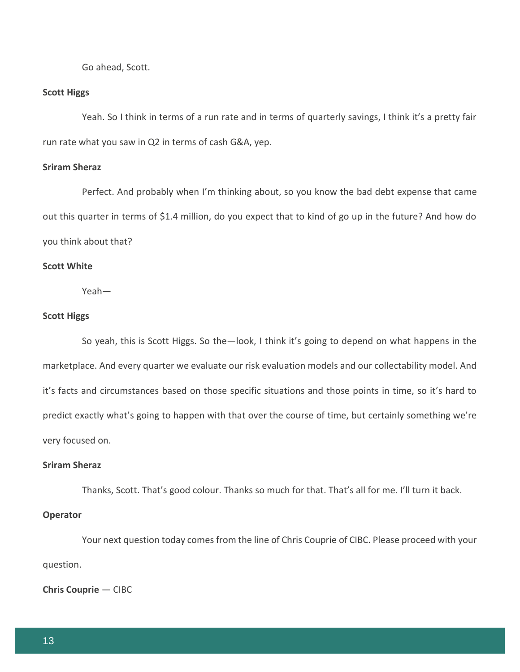Go ahead, Scott.

#### **Scott Higgs**

Yeah. So I think in terms of a run rate and in terms of quarterly savings, I think it's a pretty fair run rate what you saw in Q2 in terms of cash G&A, yep.

#### **Sriram Sheraz**

Perfect. And probably when I'm thinking about, so you know the bad debt expense that came out this quarter in terms of \$1.4 million, do you expect that to kind of go up in the future? And how do you think about that?

## **Scott White**

Yeah—

#### **Scott Higgs**

So yeah, this is Scott Higgs. So the—look, I think it's going to depend on what happens in the marketplace. And every quarter we evaluate our risk evaluation models and our collectability model. And it's facts and circumstances based on those specific situations and those points in time, so it's hard to predict exactly what's going to happen with that over the course of time, but certainly something we're very focused on.

## **Sriram Sheraz**

Thanks, Scott. That's good colour. Thanks so much for that. That's all for me. I'll turn it back.

## **Operator**

Your next question today comes from the line of Chris Couprie of CIBC. Please proceed with your question.

**Chris Couprie** — CIBC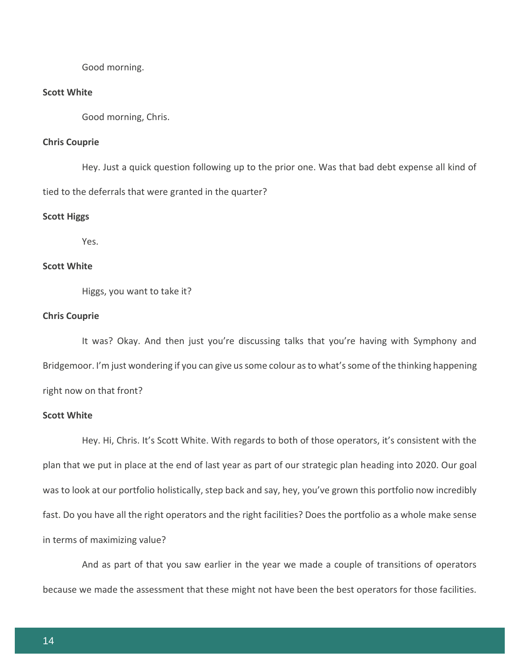Good morning.

#### **Scott White**

Good morning, Chris.

## **Chris Couprie**

Hey. Just a quick question following up to the prior one. Was that bad debt expense all kind of tied to the deferrals that were granted in the quarter?

#### **Scott Higgs**

Yes.

## **Scott White**

Higgs, you want to take it?

#### **Chris Couprie**

It was? Okay. And then just you're discussing talks that you're having with Symphony and Bridgemoor. I'm just wondering if you can give us some colour as to what's some of the thinking happening right now on that front?

## **Scott White**

Hey. Hi, Chris. It's Scott White. With regards to both of those operators, it's consistent with the plan that we put in place at the end of last year as part of our strategic plan heading into 2020. Our goal was to look at our portfolio holistically, step back and say, hey, you've grown this portfolio now incredibly fast. Do you have all the right operators and the right facilities? Does the portfolio as a whole make sense in terms of maximizing value?

And as part of that you saw earlier in the year we made a couple of transitions of operators because we made the assessment that these might not have been the best operators for those facilities.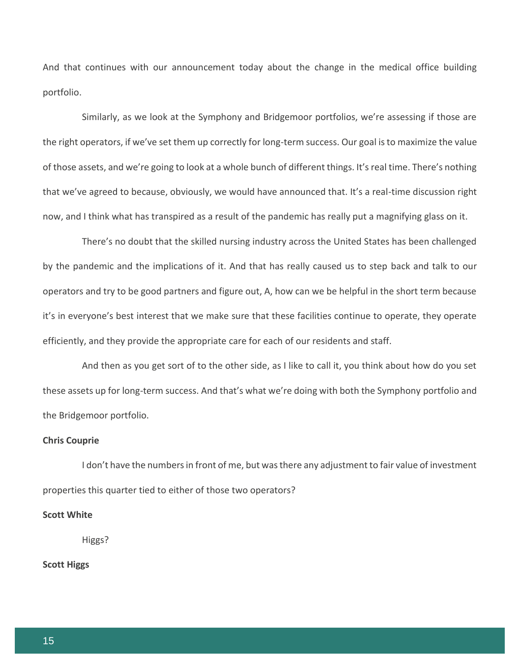And that continues with our announcement today about the change in the medical office building portfolio.

Similarly, as we look at the Symphony and Bridgemoor portfolios, we're assessing if those are the right operators, if we've set them up correctly for long-term success. Our goal is to maximize the value of those assets, and we're going to look at a whole bunch of different things. It's real time. There's nothing that we've agreed to because, obviously, we would have announced that. It's a real-time discussion right now, and I think what has transpired as a result of the pandemic has really put a magnifying glass on it.

There's no doubt that the skilled nursing industry across the United States has been challenged by the pandemic and the implications of it. And that has really caused us to step back and talk to our operators and try to be good partners and figure out, A, how can we be helpful in the short term because it's in everyone's best interest that we make sure that these facilities continue to operate, they operate efficiently, and they provide the appropriate care for each of our residents and staff.

And then as you get sort of to the other side, as I like to call it, you think about how do you set these assets up for long-term success. And that's what we're doing with both the Symphony portfolio and the Bridgemoor portfolio.

## **Chris Couprie**

I don't have the numbers in front of me, but was there any adjustment to fair value of investment properties this quarter tied to either of those two operators?

#### **Scott White**

Higgs?

## **Scott Higgs**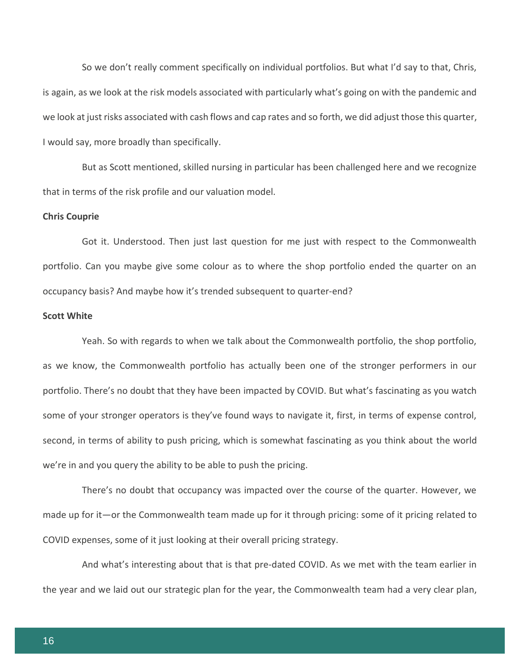So we don't really comment specifically on individual portfolios. But what I'd say to that, Chris, is again, as we look at the risk models associated with particularly what's going on with the pandemic and we look at just risks associated with cash flows and cap rates and so forth, we did adjust those this quarter, I would say, more broadly than specifically.

But as Scott mentioned, skilled nursing in particular has been challenged here and we recognize that in terms of the risk profile and our valuation model.

#### **Chris Couprie**

Got it. Understood. Then just last question for me just with respect to the Commonwealth portfolio. Can you maybe give some colour as to where the shop portfolio ended the quarter on an occupancy basis? And maybe how it's trended subsequent to quarter-end?

#### **Scott White**

Yeah. So with regards to when we talk about the Commonwealth portfolio, the shop portfolio, as we know, the Commonwealth portfolio has actually been one of the stronger performers in our portfolio. There's no doubt that they have been impacted by COVID. But what's fascinating as you watch some of your stronger operators is they've found ways to navigate it, first, in terms of expense control, second, in terms of ability to push pricing, which is somewhat fascinating as you think about the world we're in and you query the ability to be able to push the pricing.

There's no doubt that occupancy was impacted over the course of the quarter. However, we made up for it—or the Commonwealth team made up for it through pricing: some of it pricing related to COVID expenses, some of it just looking at their overall pricing strategy.

And what's interesting about that is that pre-dated COVID. As we met with the team earlier in the year and we laid out our strategic plan for the year, the Commonwealth team had a very clear plan,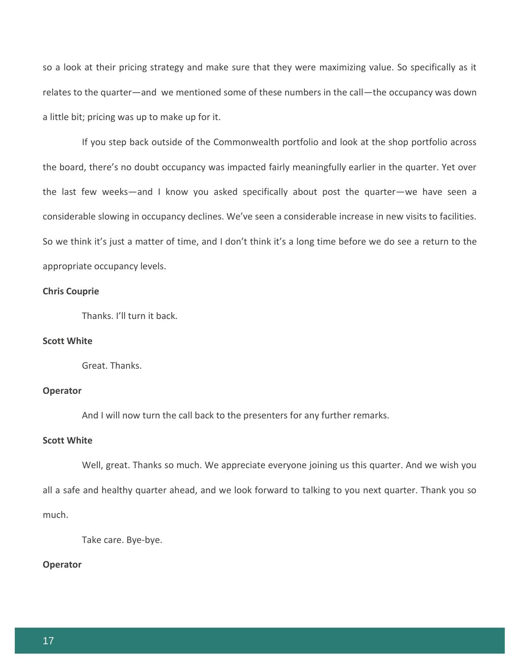so a look at their pricing strategy and make sure that they were maximizing value. So specifically as it relates to the quarter—and we mentioned some of these numbers in the call—the occupancy was down a little bit; pricing was up to make up for it.

If you step back outside of the Commonwealth portfolio and look at the shop portfolio across the board, there's no doubt occupancy was impacted fairly meaningfully earlier in the quarter. Yet over the last few weeks—and I know you asked specifically about post the quarter—we have seen a considerable slowing in occupancy declines. We've seen a considerable increase in new visits to facilities. So we think it's just a matter of time, and I don't think it's a long time before we do see a return to the appropriate occupancy levels.

## **Chris Couprie**

Thanks. I'll turn it back.

## **Scott White**

Great. Thanks.

#### **Operator**

And I will now turn the call back to the presenters for any further remarks.

## **Scott White**

Well, great. Thanks so much. We appreciate everyone joining us this quarter. And we wish you all a safe and healthy quarter ahead, and we look forward to talking to you next quarter. Thank you so much.

Take care. Bye-bye.

## **Operator**